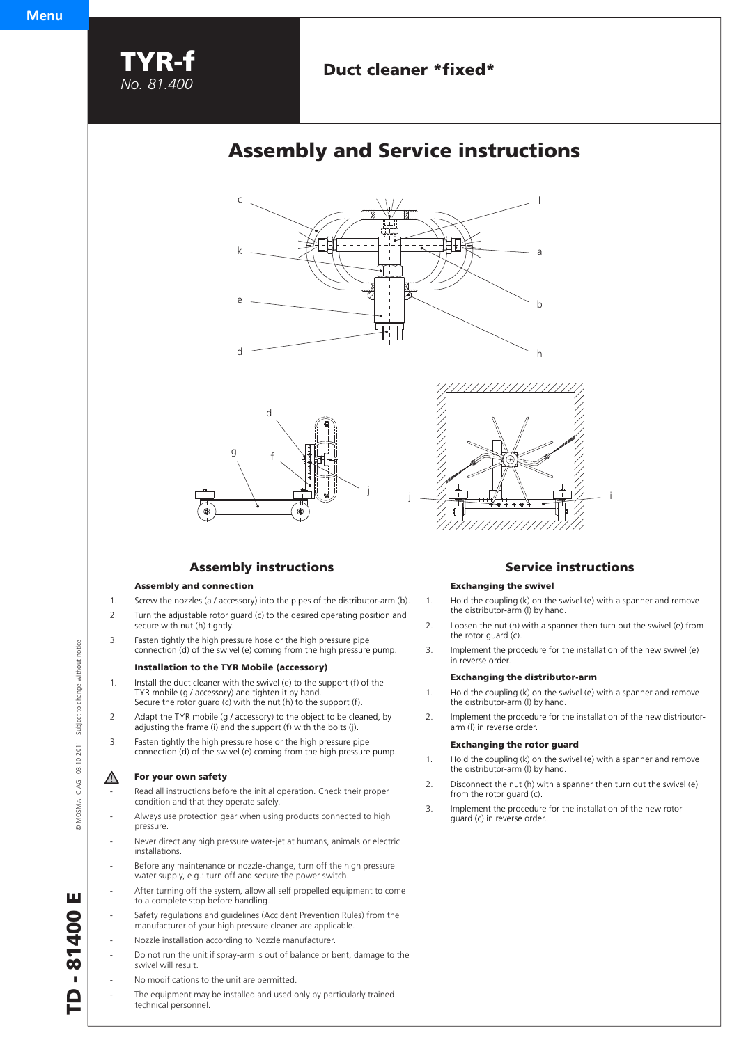

# **Duct cleaner \*fixed\***

# **Assembly and Service instructions**





## **Assembly instructions**

### **Assembly and connection**

- 1. Screw the nozzles (a / accessory) into the pipes of the distributor-arm (b).
- 2. Turn the adjustable rotor guard (c) to the desired operating position and secure with nut (h) tightly.
- 3. Fasten tightly the high pressure hose or the high pressure pipe connection (d) of the swivel (e) coming from the high pressure pump.

### **Installation to the TYR Mobile (accessory)**

- 1. Install the duct cleaner with the swivel (e) to the support (f) of the TYR mobile (g / accessory) and tighten it by hand. Secure the rotor guard (c) with the nut (h) to the support (f).
- 2. Adapt the TYR mobile (g / accessory) to the object to be cleaned, by adjusting the frame (i) and the support (f) with the bolts (j).
- 3. Fasten tightly the high pressure hose or the high pressure pipe connection (d) of the swivel (e) coming from the high pressure pump.

## **For your own safety**

- Read all instructions before the initial operation. Check their proper condition and that they operate safely.
- Always use protection gear when using products connected to high pressure.
- Never direct any high pressure water-jet at humans, animals or electric installations.
- Before any maintenance or nozzle-change, turn off the high pressure water supply, e.g.: turn off and secure the power switch.
- After turning off the system, allow all self propelled equipment to come to a complete stop before handling.
- Safety regulations and guidelines (Accident Prevention Rules) from the manufacturer of your high pressure cleaner are applicable.
- Nozzle installation according to Nozzle manufacturer.
- Do not run the unit if spray-arm is out of balance or bent, damage to the swivel will result.
- No modifications to the unit are permitted.
- The equipment may be installed and used only by particularly trained technical personnel.



## **Service instructions**

## **Exchanging the swivel**

- 1. Hold the coupling (k) on the swivel (e) with a spanner and remove the distributor-arm (l) by hand.
- 2. Loosen the nut (h) with a spanner then turn out the swivel (e) from the rotor guard (c).
- 3. Implement the procedure for the installation of the new swivel (e) in reverse order.

#### **Exchanging the distributor-arm**

- 1. Hold the coupling (k) on the swivel (e) with a spanner and remove the distributor-arm (l) by hand.
- 2. Implement the procedure for the installation of the new distributor arm (l) in reverse order.

#### **Exchanging the rotor guard**

- 1. Hold the coupling (k) on the swivel (e) with a spanner and remove the distributor-arm (l) by hand.
- 2. Disconnect the nut (h) with a spanner then turn out the swivel (e) from the rotor guard (c).
- 3. Implement the procedure for the installation of the new rotor guard (c) in reverse order.

MOSMATIC AG 03.10.2011 Subject to change without notice